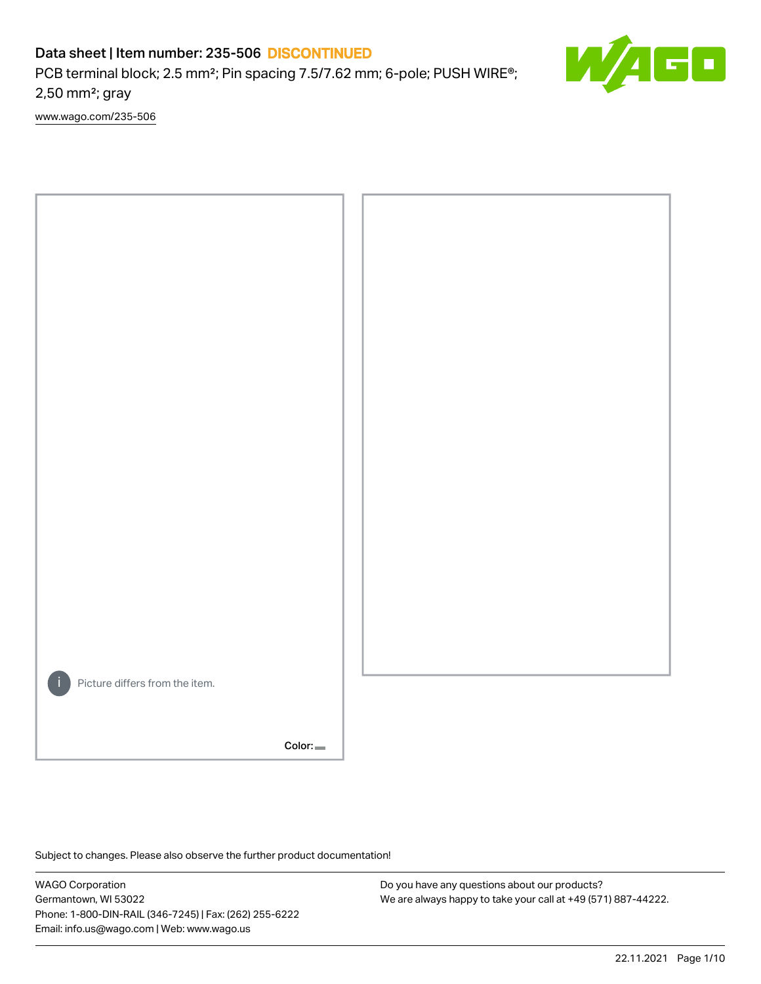PCB terminal block; 2.5 mm<sup>2</sup>; Pin spacing 7.5/7.62 mm; 6-pole; PUSH WIRE<sup>®</sup>; 2,50 mm²; gray

[www.wago.com/235-506](http://www.wago.com/235-506)



Color:

Subject to changes. Please also observe the further product documentation!

WAGO Corporation Germantown, WI 53022 Phone: 1-800-DIN-RAIL (346-7245) | Fax: (262) 255-6222 Email: info.us@wago.com | Web: www.wago.us

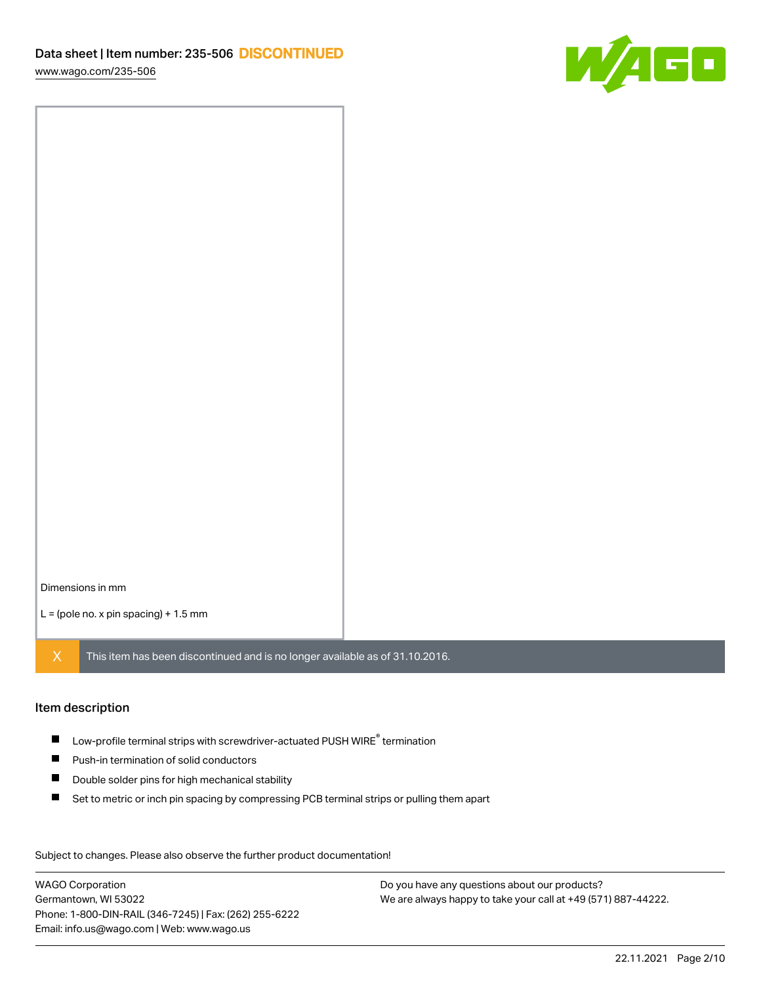

Dimensions in mm

 $L =$  (pole no. x pin spacing) + 1.5 mm

 $X$  This item has been discontinued and is no longer available as of 31.10.2016.

#### Item description

- $\blacksquare$  Low-profile terminal strips with screwdriver-actuated PUSH WIRE<sup>®</sup> termination
- **Push-in termination of solid conductors**
- $\blacksquare$ Double solder pins for high mechanical stability
- $\blacksquare$ Set to metric or inch pin spacing by compressing PCB terminal strips or pulling them apart

Subject to changes. Please also observe the further product documentation! Data

WAGO Corporation Germantown, WI 53022 Phone: 1-800-DIN-RAIL (346-7245) | Fax: (262) 255-6222 Email: info.us@wago.com | Web: www.wago.us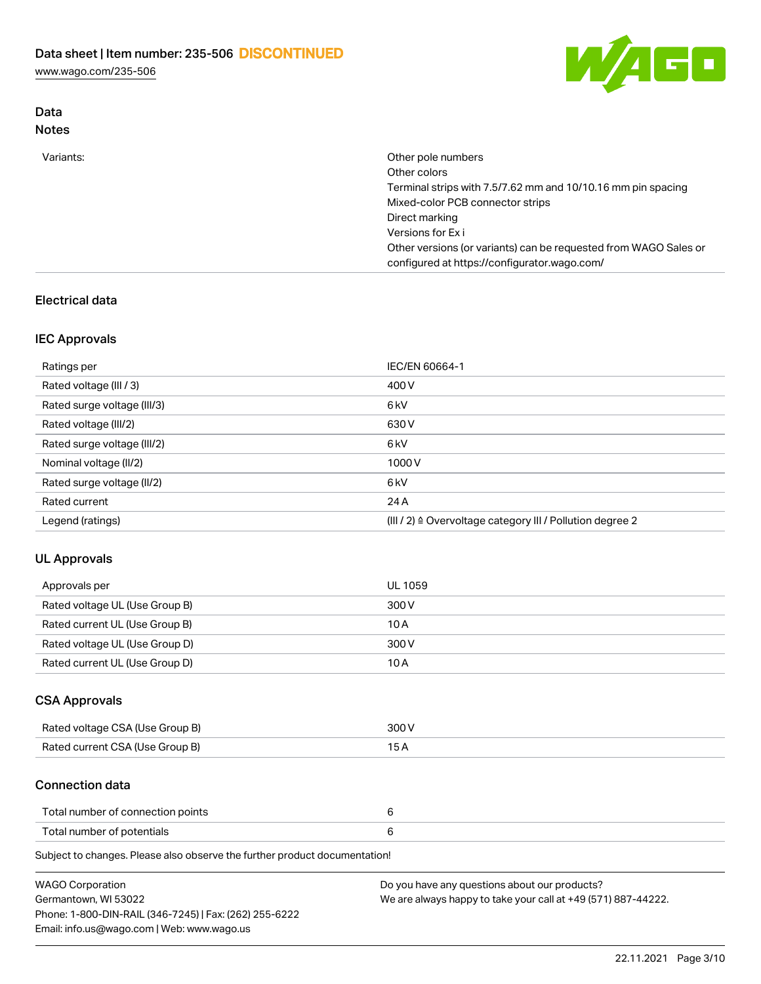Data



| <b>Notes</b> |                                                                                                                  |
|--------------|------------------------------------------------------------------------------------------------------------------|
| Variants:    | Other pole numbers                                                                                               |
|              | Other colors                                                                                                     |
|              | Terminal strips with 7.5/7.62 mm and 10/10.16 mm pin spacing                                                     |
|              | Mixed-color PCB connector strips                                                                                 |
|              | Direct marking                                                                                                   |
|              | Versions for Exi                                                                                                 |
|              | Other versions (or variants) can be requested from WAGO Sales or<br>configured at https://configurator.wago.com/ |

## Electrical data

## IEC Approvals

| Ratings per                 | IEC/EN 60664-1                                                        |
|-----------------------------|-----------------------------------------------------------------------|
| Rated voltage (III / 3)     | 400 V                                                                 |
| Rated surge voltage (III/3) | 6 <sub>kV</sub>                                                       |
| Rated voltage (III/2)       | 630 V                                                                 |
| Rated surge voltage (III/2) | 6 <sub>kV</sub>                                                       |
| Nominal voltage (II/2)      | 1000V                                                                 |
| Rated surge voltage (II/2)  | 6 <sub>kV</sub>                                                       |
| Rated current               | 24 A                                                                  |
| Legend (ratings)            | $(III / 2)$ $\triangle$ Overvoltage category III / Pollution degree 2 |

## UL Approvals

| Approvals per                  | <b>UL 1059</b> |
|--------------------------------|----------------|
| Rated voltage UL (Use Group B) | 300 V          |
| Rated current UL (Use Group B) | 10 A           |
| Rated voltage UL (Use Group D) | 300 V          |
| Rated current UL (Use Group D) | 10 A           |

## CSA Approvals

| Rated voltage CSA (Use Group B) | 300 V |
|---------------------------------|-------|
| Rated current CSA (Use Group B) |       |

#### Connection data

| Total number of connection points |  |
|-----------------------------------|--|
| Total number of potentials        |  |

Subject to changes. Please also observe the further product documentation!

| WAGO Corporation                                       | Do you have any questions about our products?                 |
|--------------------------------------------------------|---------------------------------------------------------------|
| Germantown, WI 53022                                   | We are always happy to take your call at +49 (571) 887-44222. |
| Phone: 1-800-DIN-RAIL (346-7245)   Fax: (262) 255-6222 |                                                               |
| Email: info.us@wago.com   Web: www.wago.us             |                                                               |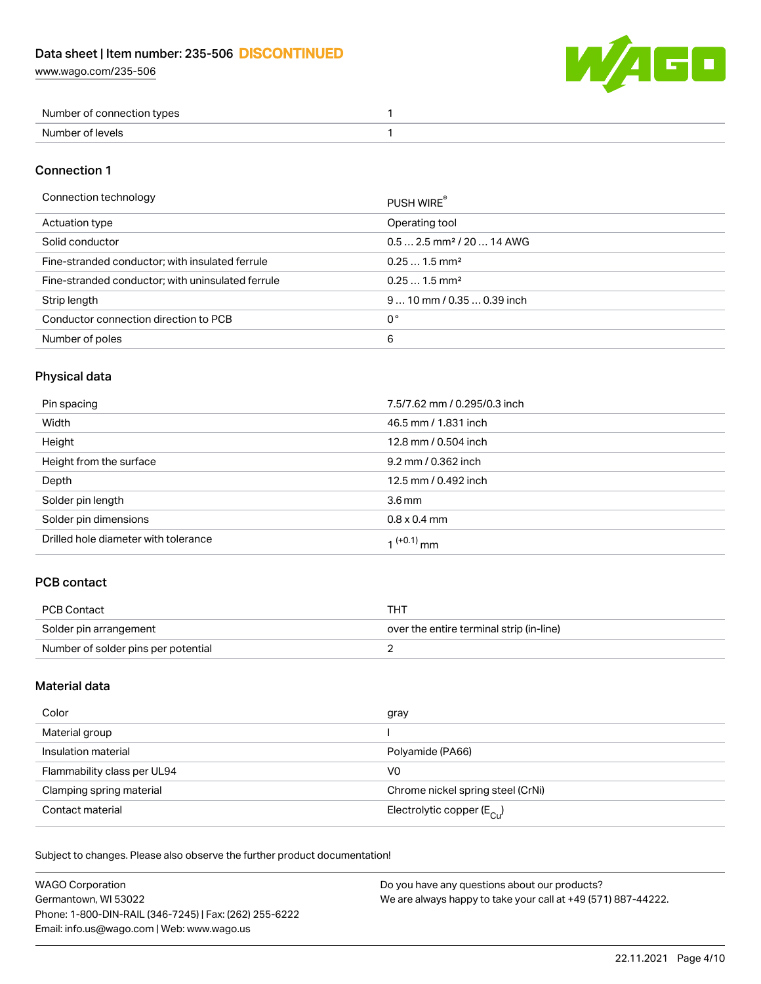

| Number of connection types |  |
|----------------------------|--|
| Number of levels           |  |

## Connection 1

| Connection technology |  |
|-----------------------|--|
|-----------------------|--|

| Connection technology                             | PUSH WIRE                              |
|---------------------------------------------------|----------------------------------------|
| Actuation type                                    | Operating tool                         |
| Solid conductor                                   | $0.5$ 2.5 mm <sup>2</sup> / 20  14 AWG |
| Fine-stranded conductor; with insulated ferrule   | $0.251.5$ mm <sup>2</sup>              |
| Fine-stranded conductor; with uninsulated ferrule | $0.251.5$ mm <sup>2</sup>              |
| Strip length                                      | $910$ mm / 0.35  0.39 inch             |
| Conductor connection direction to PCB             | 0°                                     |
| Number of poles                                   | 6                                      |
|                                                   |                                        |

## Physical data

| Pin spacing                          | 7.5/7.62 mm / 0.295/0.3 inch |
|--------------------------------------|------------------------------|
| Width                                | 46.5 mm / 1.831 inch         |
| Height                               | 12.8 mm / 0.504 inch         |
| Height from the surface              | 9.2 mm / 0.362 inch          |
| Depth                                | 12.5 mm / 0.492 inch         |
| Solder pin length                    | 3.6 <sub>mm</sub>            |
| Solder pin dimensions                | $0.8 \times 0.4$ mm          |
| Drilled hole diameter with tolerance | 1 <sup>(+0.1)</sup> mm       |

# PCB contact

| PCB Contact                         | THT                                      |
|-------------------------------------|------------------------------------------|
| Solder pin arrangement              | over the entire terminal strip (in-line) |
| Number of solder pins per potential |                                          |

## Material data

| Color                       | gray                                    |
|-----------------------------|-----------------------------------------|
| Material group              |                                         |
| Insulation material         | Polyamide (PA66)                        |
| Flammability class per UL94 | V0                                      |
| Clamping spring material    | Chrome nickel spring steel (CrNi)       |
| Contact material            | Electrolytic copper ( $E_{\text{Cu}}$ ) |

Subject to changes. Please also observe the further product documentation!

| <b>WAGO Corporation</b>                                | Do you have any questions about our products?                 |
|--------------------------------------------------------|---------------------------------------------------------------|
| Germantown, WI 53022                                   | We are always happy to take your call at +49 (571) 887-44222. |
| Phone: 1-800-DIN-RAIL (346-7245)   Fax: (262) 255-6222 |                                                               |
| Email: info.us@wago.com   Web: www.wago.us             |                                                               |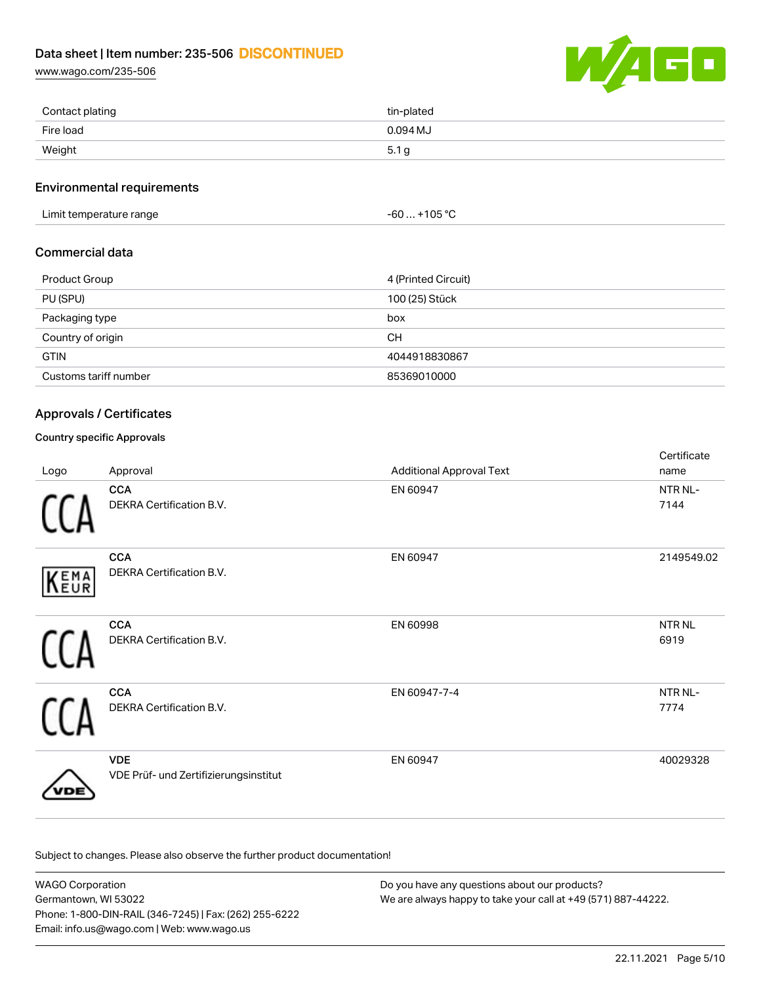[www.wago.com/235-506](http://www.wago.com/235-506)



| Contact plating | tin-plated |
|-----------------|------------|
| Fire load       | $0.094$ MJ |
| Weight          | 5.1 g      |

#### Environmental requirements

Limit temperature range  $-60...+105$  °C

## Commercial data

| <b>Product Group</b>  | 4 (Printed Circuit) |
|-----------------------|---------------------|
| PU (SPU)              | 100 (25) Stück      |
| Packaging type        | box                 |
| Country of origin     | <b>CH</b>           |
| <b>GTIN</b>           | 4044918830867       |
| Customs tariff number | 85369010000         |

## Approvals / Certificates

## Country specific Approvals

| Logo | Approval                                            | <b>Additional Approval Text</b> | Certificate<br>name       |
|------|-----------------------------------------------------|---------------------------------|---------------------------|
|      | <b>CCA</b><br>DEKRA Certification B.V.              | EN 60947                        | NTR NL-<br>7144           |
| KEMA | <b>CCA</b><br>DEKRA Certification B.V.              | EN 60947                        | 2149549.02                |
|      | <b>CCA</b><br>DEKRA Certification B.V.              | EN 60998                        | NTR <sub>NL</sub><br>6919 |
|      | <b>CCA</b><br>DEKRA Certification B.V.              | EN 60947-7-4                    | NTR NL-<br>7774           |
|      | <b>VDE</b><br>VDE Prüf- und Zertifizierungsinstitut | EN 60947                        | 40029328                  |

Subject to changes. Please also observe the further product documentation!

WAGO Corporation Germantown, WI 53022 Phone: 1-800-DIN-RAIL (346-7245) | Fax: (262) 255-6222 Email: info.us@wago.com | Web: www.wago.us Do you have any questions about our products? We are always happy to take your call at +49 (571) 887-44222.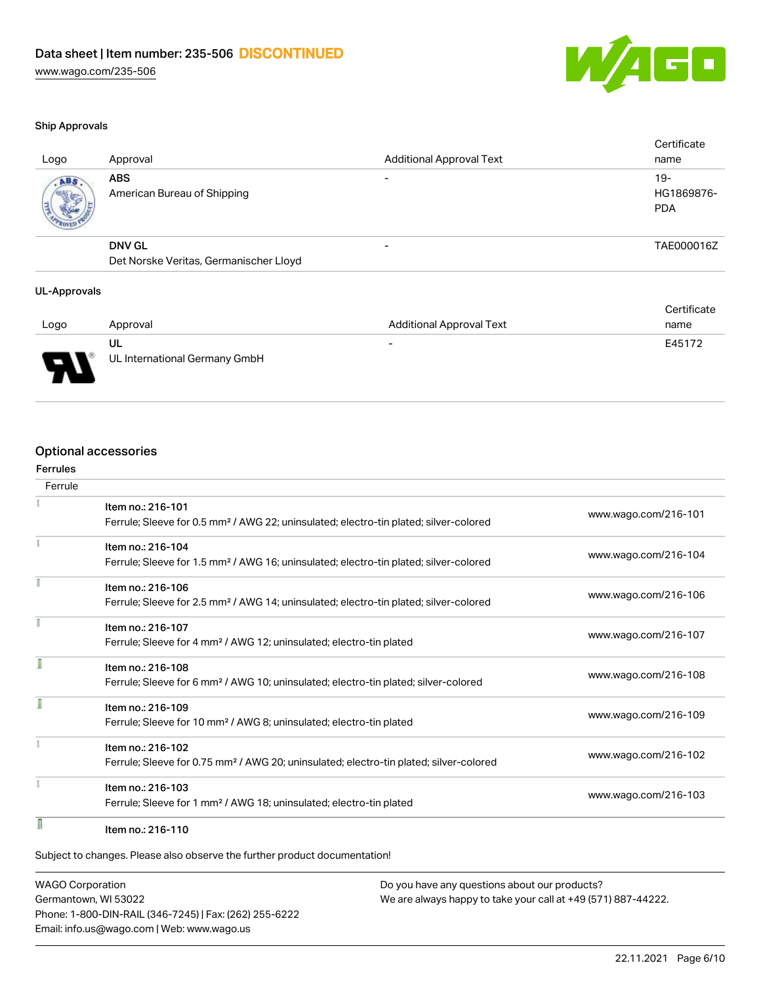

#### Ship Approvals

| Logo | Approval                                  | <b>Additional Approval Text</b> | Certificate<br>name                |
|------|-------------------------------------------|---------------------------------|------------------------------------|
| ABS. | <b>ABS</b><br>American Bureau of Shipping | $\overline{\phantom{0}}$        | $19 -$<br>HG1869876-<br><b>PDA</b> |
|      | <b>DNV GL</b>                             | $\overline{\phantom{a}}$        | TAE000016Z                         |
|      | Det Norske Veritas, Germanischer Lloyd    |                                 |                                    |
|      |                                           |                                 |                                    |

#### UL-Approvals

|        |                               |                                 | Certificate |
|--------|-------------------------------|---------------------------------|-------------|
| Logo   | Approval                      | <b>Additional Approval Text</b> | name        |
|        | UL                            | $\overline{\phantom{0}}$        | E45172      |
| J<br>◡ | UL International Germany GmbH |                                 |             |

# Optional accessories

| Ferrules<br>Ferrule |                                                                                                                        |                      |
|---------------------|------------------------------------------------------------------------------------------------------------------------|----------------------|
|                     |                                                                                                                        |                      |
|                     | Item no.: 216-101<br>Ferrule; Sleeve for 0.5 mm <sup>2</sup> / AWG 22; uninsulated; electro-tin plated; silver-colored | www.wago.com/216-101 |
|                     | Item no.: 216-104                                                                                                      |                      |
|                     | Ferrule; Sleeve for 1.5 mm <sup>2</sup> / AWG 16; uninsulated; electro-tin plated; silver-colored                      | www.wago.com/216-104 |
|                     | Item no.: 216-106                                                                                                      |                      |
|                     | Ferrule; Sleeve for 2.5 mm <sup>2</sup> / AWG 14; uninsulated; electro-tin plated; silver-colored                      | www.wago.com/216-106 |
| f                   | Item no.: 216-107                                                                                                      |                      |
|                     | Ferrule; Sleeve for 4 mm <sup>2</sup> / AWG 12; uninsulated; electro-tin plated                                        | www.wago.com/216-107 |
|                     | Item no.: 216-108                                                                                                      |                      |
|                     | Ferrule; Sleeve for 6 mm <sup>2</sup> / AWG 10; uninsulated; electro-tin plated; silver-colored                        | www.wago.com/216-108 |
|                     | Item no.: 216-109                                                                                                      |                      |
|                     | Ferrule; Sleeve for 10 mm <sup>2</sup> / AWG 8; uninsulated; electro-tin plated                                        | www.wago.com/216-109 |
|                     | Item no.: 216-102                                                                                                      |                      |
|                     | Ferrule; Sleeve for 0.75 mm <sup>2</sup> / AWG 20; uninsulated; electro-tin plated; silver-colored                     | www.wago.com/216-102 |
|                     | Item no.: 216-103                                                                                                      |                      |
|                     | Ferrule; Sleeve for 1 mm <sup>2</sup> / AWG 18; uninsulated; electro-tin plated                                        | www.wago.com/216-103 |
| I                   | Item no.: 216-110                                                                                                      |                      |

WAGO Corporation Germantown, WI 53022 Phone: 1-800-DIN-RAIL (346-7245) | Fax: (262) 255-6222 Email: info.us@wago.com | Web: www.wago.us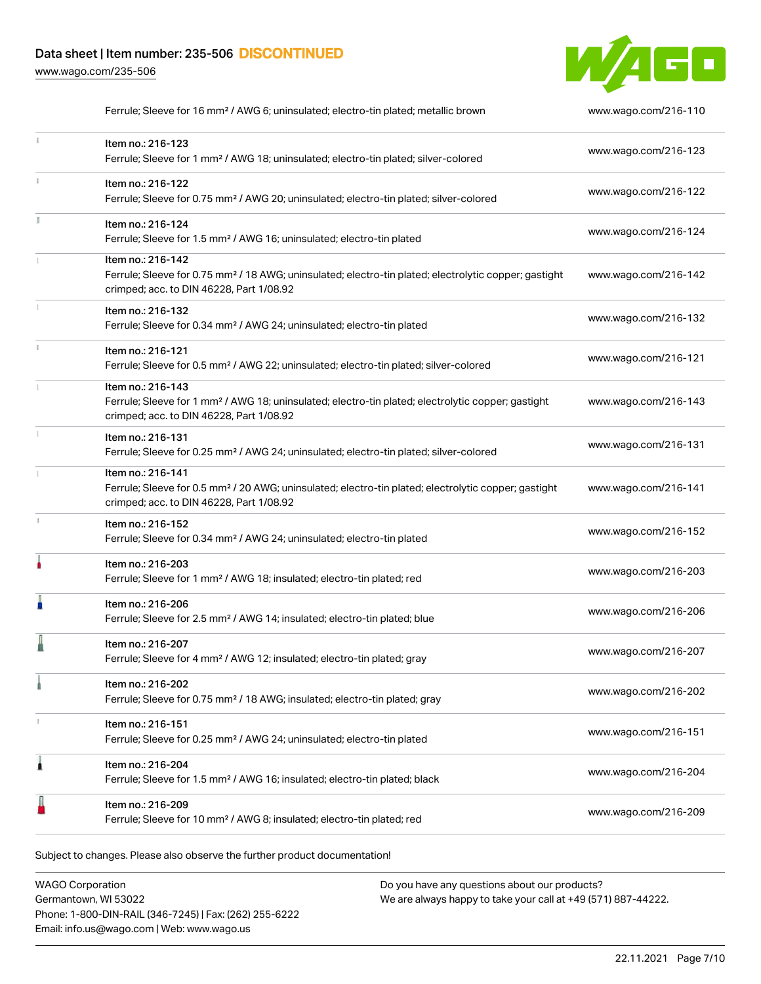[www.wago.com/235-506](http://www.wago.com/235-506)



|    | Ferrule; Sleeve for 16 mm <sup>2</sup> / AWG 6; uninsulated; electro-tin plated; metallic brown                                                                                    | www.wago.com/216-110 |
|----|------------------------------------------------------------------------------------------------------------------------------------------------------------------------------------|----------------------|
|    | Item no.: 216-123<br>Ferrule; Sleeve for 1 mm <sup>2</sup> / AWG 18; uninsulated; electro-tin plated; silver-colored                                                               | www.wago.com/216-123 |
|    | Item no.: 216-122<br>Ferrule; Sleeve for 0.75 mm <sup>2</sup> / AWG 20; uninsulated; electro-tin plated; silver-colored                                                            | www.wago.com/216-122 |
| I. | Item no.: 216-124<br>Ferrule; Sleeve for 1.5 mm <sup>2</sup> / AWG 16; uninsulated; electro-tin plated                                                                             | www.wago.com/216-124 |
|    | Item no.: 216-142<br>Ferrule; Sleeve for 0.75 mm <sup>2</sup> / 18 AWG; uninsulated; electro-tin plated; electrolytic copper; gastight<br>crimped; acc. to DIN 46228, Part 1/08.92 | www.wago.com/216-142 |
|    | Item no.: 216-132<br>Ferrule; Sleeve for 0.34 mm <sup>2</sup> / AWG 24; uninsulated; electro-tin plated                                                                            | www.wago.com/216-132 |
|    | Item no.: 216-121<br>Ferrule; Sleeve for 0.5 mm <sup>2</sup> / AWG 22; uninsulated; electro-tin plated; silver-colored                                                             | www.wago.com/216-121 |
|    | Item no.: 216-143<br>Ferrule; Sleeve for 1 mm <sup>2</sup> / AWG 18; uninsulated; electro-tin plated; electrolytic copper; gastight<br>crimped; acc. to DIN 46228, Part 1/08.92    | www.wago.com/216-143 |
|    | Item no.: 216-131<br>Ferrule; Sleeve for 0.25 mm <sup>2</sup> / AWG 24; uninsulated; electro-tin plated; silver-colored                                                            | www.wago.com/216-131 |
|    | Item no.: 216-141<br>Ferrule; Sleeve for 0.5 mm <sup>2</sup> / 20 AWG; uninsulated; electro-tin plated; electrolytic copper; gastight<br>crimped; acc. to DIN 46228, Part 1/08.92  | www.wago.com/216-141 |
|    | Item no.: 216-152<br>Ferrule; Sleeve for 0.34 mm <sup>2</sup> / AWG 24; uninsulated; electro-tin plated                                                                            | www.wago.com/216-152 |
|    | Item no.: 216-203<br>Ferrule; Sleeve for 1 mm <sup>2</sup> / AWG 18; insulated; electro-tin plated; red                                                                            | www.wago.com/216-203 |
|    | Item no.: 216-206<br>Ferrule; Sleeve for 2.5 mm <sup>2</sup> / AWG 14; insulated; electro-tin plated; blue                                                                         | www.wago.com/216-206 |
|    | Item no.: 216-207<br>Ferrule; Sleeve for 4 mm <sup>2</sup> / AWG 12; insulated; electro-tin plated; gray                                                                           | www.wago.com/216-207 |
|    | Item no.: 216-202<br>Ferrule; Sleeve for 0.75 mm <sup>2</sup> / 18 AWG; insulated; electro-tin plated; gray                                                                        | www.wago.com/216-202 |
|    | Item no.: 216-151<br>Ferrule; Sleeve for 0.25 mm <sup>2</sup> / AWG 24; uninsulated; electro-tin plated                                                                            | www.wago.com/216-151 |
| 1  | Item no.: 216-204<br>Ferrule; Sleeve for 1.5 mm <sup>2</sup> / AWG 16; insulated; electro-tin plated; black                                                                        | www.wago.com/216-204 |
|    | Item no.: 216-209<br>Ferrule; Sleeve for 10 mm <sup>2</sup> / AWG 8; insulated; electro-tin plated; red                                                                            | www.wago.com/216-209 |
|    |                                                                                                                                                                                    |                      |

Subject to changes. Please also observe the further product documentation!

WAGO Corporation Germantown, WI 53022 Phone: 1-800-DIN-RAIL (346-7245) | Fax: (262) 255-6222 Email: info.us@wago.com | Web: www.wago.us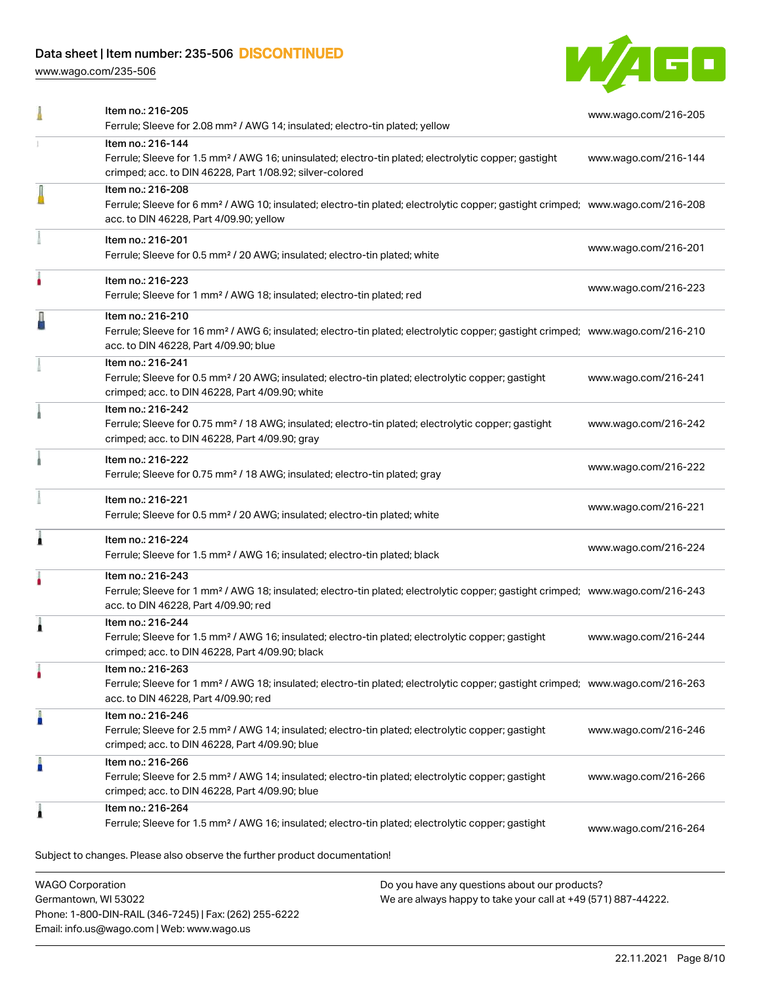Phone: 1-800-DIN-RAIL (346-7245) | Fax: (262) 255-6222

Email: info.us@wago.com | Web: www.wago.us

[www.wago.com/235-506](http://www.wago.com/235-506)



|                         | Item no.: 216-205<br>Ferrule; Sleeve for 2.08 mm <sup>2</sup> / AWG 14; insulated; electro-tin plated; yellow                                                                                              |                                                                                                                | www.wago.com/216-205 |
|-------------------------|------------------------------------------------------------------------------------------------------------------------------------------------------------------------------------------------------------|----------------------------------------------------------------------------------------------------------------|----------------------|
|                         | Item no.: 216-144<br>Ferrule; Sleeve for 1.5 mm <sup>2</sup> / AWG 16; uninsulated; electro-tin plated; electrolytic copper; gastight<br>crimped; acc. to DIN 46228, Part 1/08.92; silver-colored          |                                                                                                                | www.wago.com/216-144 |
|                         | Item no.: 216-208<br>Ferrule; Sleeve for 6 mm <sup>2</sup> / AWG 10; insulated; electro-tin plated; electrolytic copper; gastight crimped; www.wago.com/216-208<br>acc. to DIN 46228, Part 4/09.90; yellow |                                                                                                                |                      |
|                         | Item no.: 216-201<br>Ferrule; Sleeve for 0.5 mm <sup>2</sup> / 20 AWG; insulated; electro-tin plated; white                                                                                                |                                                                                                                | www.wago.com/216-201 |
|                         | Item no.: 216-223<br>Ferrule; Sleeve for 1 mm <sup>2</sup> / AWG 18; insulated; electro-tin plated; red                                                                                                    |                                                                                                                | www.wago.com/216-223 |
|                         | Item no.: 216-210<br>Ferrule; Sleeve for 16 mm <sup>2</sup> / AWG 6; insulated; electro-tin plated; electrolytic copper; gastight crimped; www.wago.com/216-210<br>acc. to DIN 46228, Part 4/09.90; blue   |                                                                                                                |                      |
|                         | Item no.: 216-241<br>Ferrule; Sleeve for 0.5 mm <sup>2</sup> / 20 AWG; insulated; electro-tin plated; electrolytic copper; gastight<br>crimped; acc. to DIN 46228, Part 4/09.90; white                     |                                                                                                                | www.wago.com/216-241 |
|                         | Item no.: 216-242<br>Ferrule; Sleeve for 0.75 mm <sup>2</sup> / 18 AWG; insulated; electro-tin plated; electrolytic copper; gastight<br>crimped; acc. to DIN 46228, Part 4/09.90; gray                     |                                                                                                                | www.wago.com/216-242 |
|                         | Item no.: 216-222<br>Ferrule; Sleeve for 0.75 mm <sup>2</sup> / 18 AWG; insulated; electro-tin plated; gray                                                                                                |                                                                                                                | www.wago.com/216-222 |
|                         | Item no.: 216-221<br>Ferrule; Sleeve for 0.5 mm <sup>2</sup> / 20 AWG; insulated; electro-tin plated; white                                                                                                |                                                                                                                | www.wago.com/216-221 |
|                         | Item no.: 216-224<br>Ferrule; Sleeve for 1.5 mm <sup>2</sup> / AWG 16; insulated; electro-tin plated; black                                                                                                |                                                                                                                | www.wago.com/216-224 |
|                         | Item no.: 216-243<br>Ferrule; Sleeve for 1 mm <sup>2</sup> / AWG 18; insulated; electro-tin plated; electrolytic copper; gastight crimped; www.wago.com/216-243<br>acc. to DIN 46228, Part 4/09.90; red    |                                                                                                                |                      |
|                         | Item no.: 216-244<br>Ferrule; Sleeve for 1.5 mm <sup>2</sup> / AWG 16; insulated; electro-tin plated; electrolytic copper; gastight<br>crimped; acc. to DIN 46228, Part 4/09.90; black                     |                                                                                                                | www.wago.com/216-244 |
|                         | Item no.: 216-263<br>Ferrule; Sleeve for 1 mm <sup>2</sup> / AWG 18; insulated; electro-tin plated; electrolytic copper; gastight crimped; www.wago.com/216-263<br>acc. to DIN 46228, Part 4/09.90; red    |                                                                                                                |                      |
|                         | Item no.: 216-246<br>Ferrule; Sleeve for 2.5 mm <sup>2</sup> / AWG 14; insulated; electro-tin plated; electrolytic copper; gastight<br>crimped; acc. to DIN 46228, Part 4/09.90; blue                      |                                                                                                                | www.wago.com/216-246 |
|                         | Item no.: 216-266<br>Ferrule; Sleeve for 2.5 mm <sup>2</sup> / AWG 14; insulated; electro-tin plated; electrolytic copper; gastight<br>crimped; acc. to DIN 46228, Part 4/09.90; blue                      |                                                                                                                | www.wago.com/216-266 |
|                         | Item no.: 216-264<br>Ferrule; Sleeve for 1.5 mm <sup>2</sup> / AWG 16; insulated; electro-tin plated; electrolytic copper; gastight                                                                        |                                                                                                                | www.wago.com/216-264 |
|                         | Subject to changes. Please also observe the further product documentation!                                                                                                                                 |                                                                                                                |                      |
| <b>WAGO Corporation</b> | Germantown, WI 53022                                                                                                                                                                                       | Do you have any questions about our products?<br>We are always happy to take your call at +49 (571) 887-44222. |                      |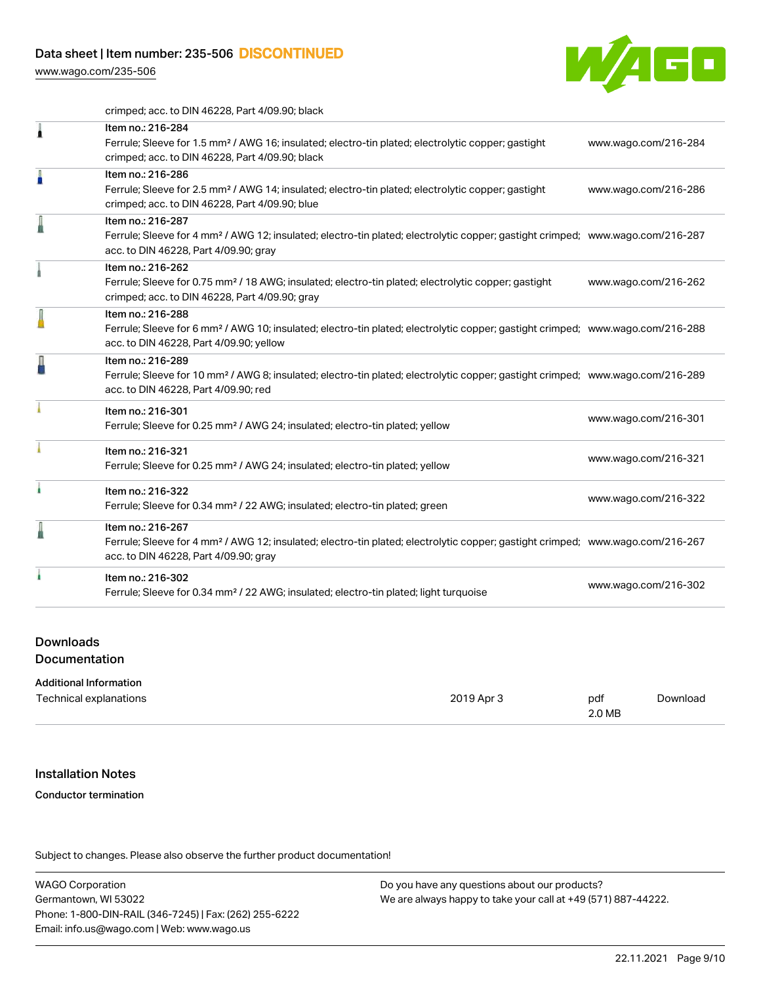[www.wago.com/235-506](http://www.wago.com/235-506)



crimped; acc. to DIN 46228, Part 4/09.90; black

|    | Item no.: 216-284<br>Ferrule; Sleeve for 1.5 mm <sup>2</sup> / AWG 16; insulated; electro-tin plated; electrolytic copper; gastight<br>crimped; acc. to DIN 46228, Part 4/09.90; black                     | www.wago.com/216-284 |
|----|------------------------------------------------------------------------------------------------------------------------------------------------------------------------------------------------------------|----------------------|
| A  | Item no.: 216-286<br>Ferrule; Sleeve for 2.5 mm <sup>2</sup> / AWG 14; insulated; electro-tin plated; electrolytic copper; gastight<br>crimped; acc. to DIN 46228, Part 4/09.90; blue                      | www.wago.com/216-286 |
| l  | Item no.: 216-287<br>Ferrule; Sleeve for 4 mm <sup>2</sup> / AWG 12; insulated; electro-tin plated; electrolytic copper; gastight crimped; www.wago.com/216-287<br>acc. to DIN 46228, Part 4/09.90; gray   |                      |
|    | Item no.: 216-262<br>Ferrule; Sleeve for 0.75 mm <sup>2</sup> / 18 AWG; insulated; electro-tin plated; electrolytic copper; gastight<br>crimped; acc. to DIN 46228, Part 4/09.90; gray                     | www.wago.com/216-262 |
|    | Item no.: 216-288<br>Ferrule; Sleeve for 6 mm <sup>2</sup> / AWG 10; insulated; electro-tin plated; electrolytic copper; gastight crimped; www.wago.com/216-288<br>acc. to DIN 46228, Part 4/09.90; yellow |                      |
| ł  | Item no.: 216-289<br>Ferrule; Sleeve for 10 mm <sup>2</sup> / AWG 8; insulated; electro-tin plated; electrolytic copper; gastight crimped; www.wago.com/216-289<br>acc. to DIN 46228, Part 4/09.90; red    |                      |
|    | Item no.: 216-301<br>Ferrule; Sleeve for 0.25 mm <sup>2</sup> / AWG 24; insulated; electro-tin plated; yellow                                                                                              | www.wago.com/216-301 |
|    | Item no.: 216-321<br>Ferrule; Sleeve for 0.25 mm <sup>2</sup> / AWG 24; insulated; electro-tin plated; yellow                                                                                              | www.wago.com/216-321 |
| ł. | Item no.: 216-322<br>Ferrule; Sleeve for 0.34 mm <sup>2</sup> / 22 AWG; insulated; electro-tin plated; green                                                                                               | www.wago.com/216-322 |
| I  | Item no.: 216-267<br>Ferrule; Sleeve for 4 mm <sup>2</sup> / AWG 12; insulated; electro-tin plated; electrolytic copper; gastight crimped; www.wago.com/216-267<br>acc. to DIN 46228, Part 4/09.90; gray   |                      |
|    | Item no.: 216-302<br>Ferrule; Sleeve for 0.34 mm <sup>2</sup> / 22 AWG; insulated; electro-tin plated; light turquoise                                                                                     | www.wago.com/216-302 |
|    |                                                                                                                                                                                                            |                      |

#### Downloads

**Documentation** 

#### Additional Information

| Technical explanations | 2019 Apr 3 | pdf    | Download |
|------------------------|------------|--------|----------|
|                        |            | 2.0 MB |          |

#### Installation Notes

#### Conductor termination

Subject to changes. Please also observe the further product documentation!

WAGO Corporation Germantown, WI 53022 Phone: 1-800-DIN-RAIL (346-7245) | Fax: (262) 255-6222 Email: info.us@wago.com | Web: www.wago.us